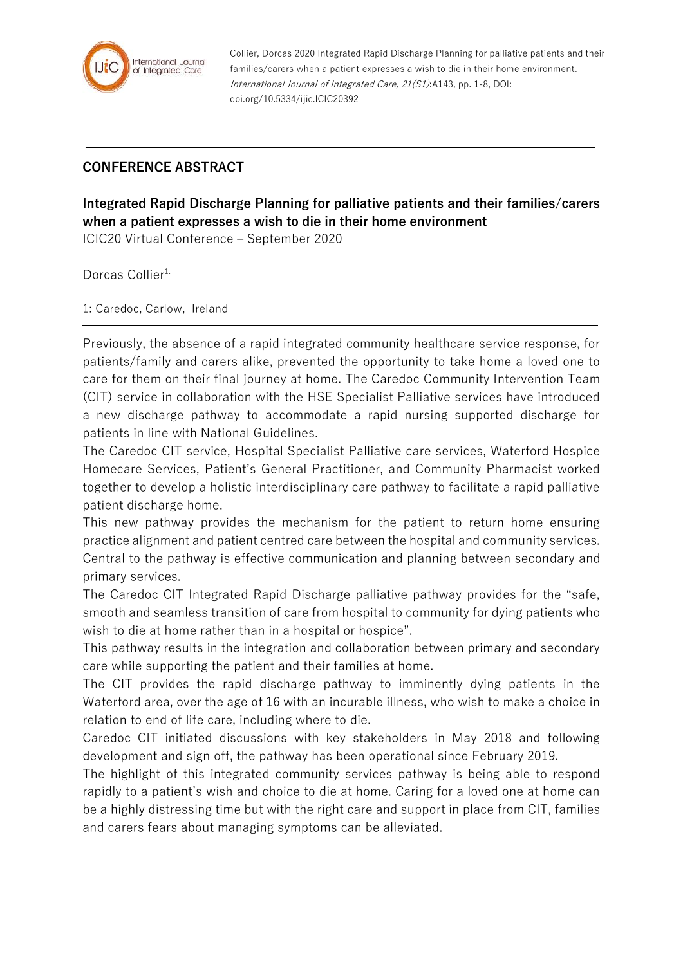

Collier, Dorcas 2020 Integrated Rapid Discharge Planning for palliative patients and their families/carers when a patient expresses a wish to die in their home environment. International Journal of Integrated Care, 21(S1):A143, pp. 1-8, DOI: doi.org/10.5334/ijic.ICIC20392

## **CONFERENCE ABSTRACT**

**Integrated Rapid Discharge Planning for palliative patients and their families/carers when a patient expresses a wish to die in their home environment**

ICIC20 Virtual Conference – September 2020

Dorcas Collier<sup>1.</sup>

1: Caredoc, Carlow, Ireland

Previously, the absence of a rapid integrated community healthcare service response, for patients/family and carers alike, prevented the opportunity to take home a loved one to care for them on their final journey at home. The Caredoc Community Intervention Team (CIT) service in collaboration with the HSE Specialist Palliative services have introduced a new discharge pathway to accommodate a rapid nursing supported discharge for patients in line with National Guidelines.

The Caredoc CIT service, Hospital Specialist Palliative care services, Waterford Hospice Homecare Services, Patient's General Practitioner, and Community Pharmacist worked together to develop a holistic interdisciplinary care pathway to facilitate a rapid palliative patient discharge home.

This new pathway provides the mechanism for the patient to return home ensuring practice alignment and patient centred care between the hospital and community services. Central to the pathway is effective communication and planning between secondary and primary services.

The Caredoc CIT Integrated Rapid Discharge palliative pathway provides for the "safe, smooth and seamless transition of care from hospital to community for dying patients who wish to die at home rather than in a hospital or hospice".

This pathway results in the integration and collaboration between primary and secondary care while supporting the patient and their families at home.

The CIT provides the rapid discharge pathway to imminently dying patients in the Waterford area, over the age of 16 with an incurable illness, who wish to make a choice in relation to end of life care, including where to die.

Caredoc CIT initiated discussions with key stakeholders in May 2018 and following development and sign off, the pathway has been operational since February 2019.

The highlight of this integrated community services pathway is being able to respond rapidly to a patient's wish and choice to die at home. Caring for a loved one at home can be a highly distressing time but with the right care and support in place from CIT, families and carers fears about managing symptoms can be alleviated.